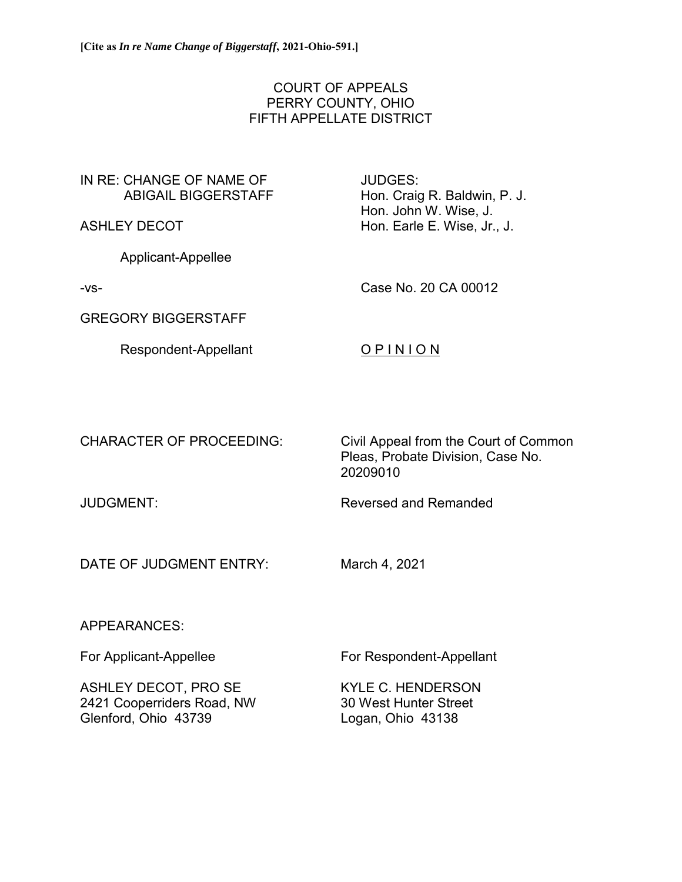# COURT OF APPEALS PERRY COUNTY, OHIO FIFTH APPELLATE DISTRICT

# IN RE: CHANGE OF NAME OF ABIGAIL BIGGERSTAFF

ASHLEY DECOT

Applicant-Appellee

-vs-

Case No. 20 CA 00012

Hon. Craig R. Baldwin, P. J. Hon. John W. Wise, J. Hon. Earle E. Wise, Jr., J.

GREGORY BIGGERSTAFF

Respondent-Appellant

# O P I N I O N

JUDGES:

CHARACTER OF PROCEEDING: Civil Appeal from the Court of Common Pleas, Probate Division, Case No. 20209010

JUDGMENT: Reversed and Remanded

DATE OF JUDGMENT ENTRY: March 4, 2021

# APPEARANCES:

ASHLEY DECOT, PRO SE KYLE C. HENDERSON 2421 Cooperriders Road, NW 30 West Hunter Street

For Applicant-Appellee For Respondent-Appellant

Glenford, Ohio 43739 Logan, Ohio 43138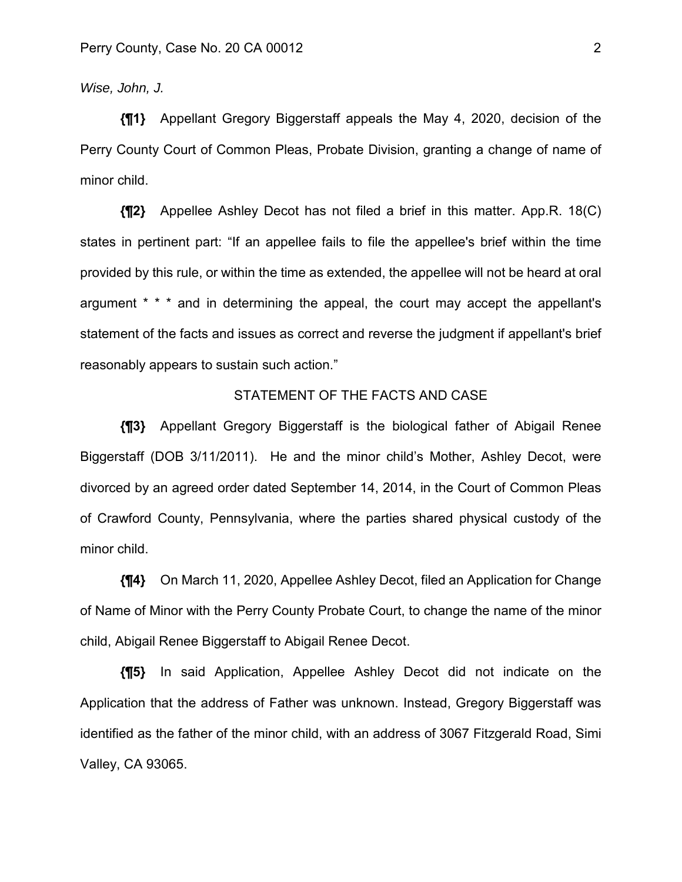*Wise, John, J.* 

**{¶1}** Appellant Gregory Biggerstaff appeals the May 4, 2020, decision of the Perry County Court of Common Pleas, Probate Division, granting a change of name of minor child.

**{¶2}** Appellee Ashley Decot has not filed a brief in this matter. App.R. 18(C) states in pertinent part: "If an appellee fails to file the appellee's brief within the time provided by this rule, or within the time as extended, the appellee will not be heard at oral argument \* \* \* and in determining the appeal, the court may accept the appellant's statement of the facts and issues as correct and reverse the judgment if appellant's brief reasonably appears to sustain such action."

### STATEMENT OF THE FACTS AND CASE

**{¶3}** Appellant Gregory Biggerstaff is the biological father of Abigail Renee Biggerstaff (DOB 3/11/2011). He and the minor child's Mother, Ashley Decot, were divorced by an agreed order dated September 14, 2014, in the Court of Common Pleas of Crawford County, Pennsylvania, where the parties shared physical custody of the minor child.

**{¶4}** On March 11, 2020, Appellee Ashley Decot, filed an Application for Change of Name of Minor with the Perry County Probate Court, to change the name of the minor child, Abigail Renee Biggerstaff to Abigail Renee Decot.

**{¶5}** In said Application, Appellee Ashley Decot did not indicate on the Application that the address of Father was unknown. Instead, Gregory Biggerstaff was identified as the father of the minor child, with an address of 3067 Fitzgerald Road, Simi Valley, CA 93065.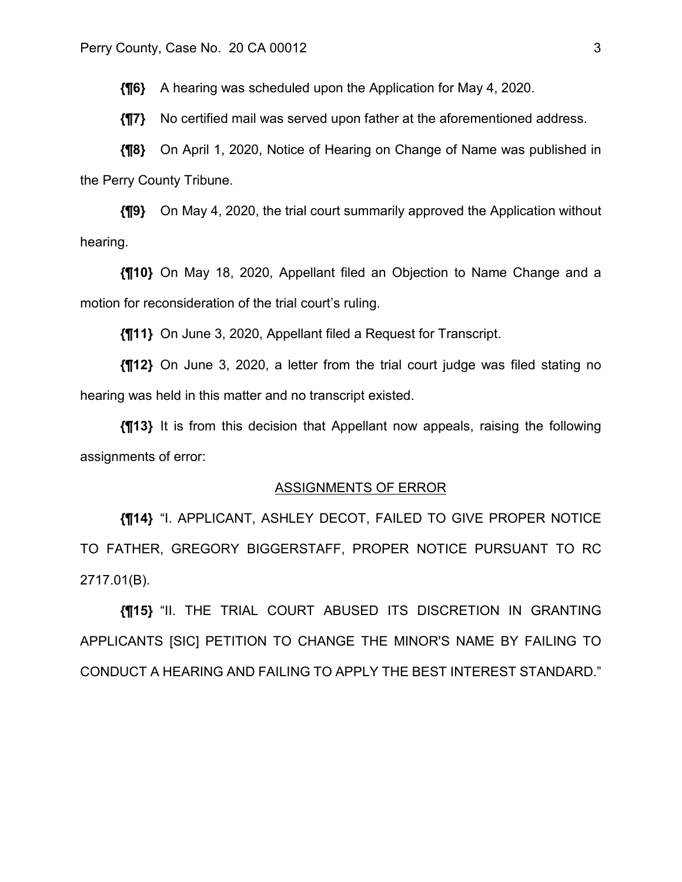**{¶6}** A hearing was scheduled upon the Application for May 4, 2020.

**{¶7}** No certified mail was served upon father at the aforementioned address.

**{¶8}** On April 1, 2020, Notice of Hearing on Change of Name was published in the Perry County Tribune.

**{¶9}** On May 4, 2020, the trial court summarily approved the Application without hearing.

**{¶10}** On May 18, 2020, Appellant filed an Objection to Name Change and a motion for reconsideration of the trial court's ruling.

**{¶11}** On June 3, 2020, Appellant filed a Request for Transcript.

**{¶12}** On June 3, 2020, a letter from the trial court judge was filed stating no hearing was held in this matter and no transcript existed.

**{¶13}** It is from this decision that Appellant now appeals, raising the following assignments of error:

#### ASSIGNMENTS OF ERROR

**{¶14}** "I. APPLICANT, ASHLEY DECOT, FAILED TO GIVE PROPER NOTICE TO FATHER, GREGORY BIGGERSTAFF, PROPER NOTICE PURSUANT TO RC 2717.01(B).

**{¶15}** "II. THE TRIAL COURT ABUSED ITS DISCRETION IN GRANTING APPLICANTS [SIC] PETITION TO CHANGE THE MINOR'S NAME BY FAILING TO CONDUCT A HEARING AND FAILING TO APPLY THE BEST INTEREST STANDARD."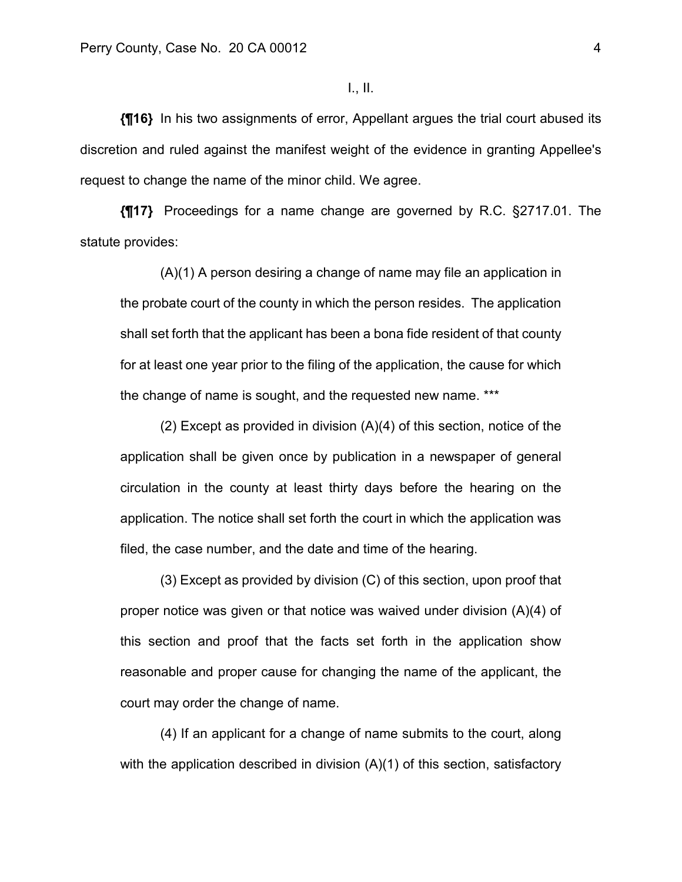## I., II.

**{¶16}** In his two assignments of error, Appellant argues the trial court abused its discretion and ruled against the manifest weight of the evidence in granting Appellee's request to change the name of the minor child. We agree.

**{¶17}** Proceedings for a name change are governed by R.C. §2717.01. The statute provides:

(A)(1) A person desiring a change of name may file an application in the probate court of the county in which the person resides. The application shall set forth that the applicant has been a bona fide resident of that county for at least one year prior to the filing of the application, the cause for which the change of name is sought, and the requested new name. \*\*\*

(2) Except as provided in division (A)(4) of this section, notice of the application shall be given once by publication in a newspaper of general circulation in the county at least thirty days before the hearing on the application. The notice shall set forth the court in which the application was filed, the case number, and the date and time of the hearing.

(3) Except as provided by division (C) of this section, upon proof that proper notice was given or that notice was waived under division (A)(4) of this section and proof that the facts set forth in the application show reasonable and proper cause for changing the name of the applicant, the court may order the change of name.

(4) If an applicant for a change of name submits to the court, along with the application described in division (A)(1) of this section, satisfactory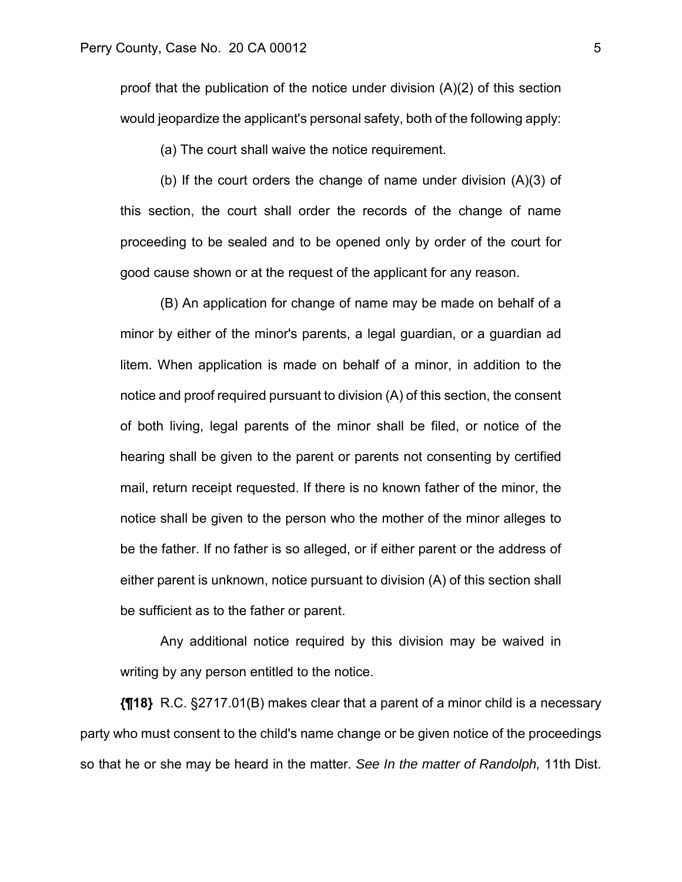proof that the publication of the notice under division (A)(2) of this section would jeopardize the applicant's personal safety, both of the following apply:

(a) The court shall waive the notice requirement.

(b) If the court orders the change of name under division (A)(3) of this section, the court shall order the records of the change of name proceeding to be sealed and to be opened only by order of the court for good cause shown or at the request of the applicant for any reason.

(B) An application for change of name may be made on behalf of a minor by either of the minor's parents, a legal guardian, or a guardian ad litem. When application is made on behalf of a minor, in addition to the notice and proof required pursuant to division (A) of this section, the consent of both living, legal parents of the minor shall be filed, or notice of the hearing shall be given to the parent or parents not consenting by certified mail, return receipt requested. If there is no known father of the minor, the notice shall be given to the person who the mother of the minor alleges to be the father. If no father is so alleged, or if either parent or the address of either parent is unknown, notice pursuant to division (A) of this section shall be sufficient as to the father or parent.

Any additional notice required by this division may be waived in writing by any person entitled to the notice.

**{¶18}** R.C. §2717.01(B) makes clear that a parent of a minor child is a necessary party who must consent to the child's name change or be given notice of the proceedings so that he or she may be heard in the matter. *See In the matter of Randolph,* 11th Dist.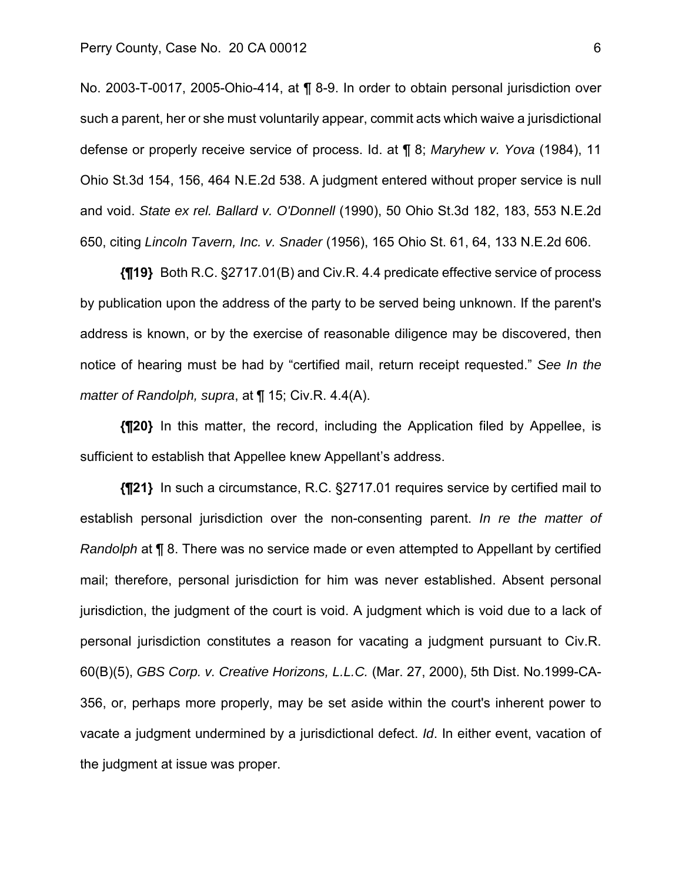No. 2003-T-0017, 2005-Ohio-414, at ¶ 8-9. In order to obtain personal jurisdiction over such a parent, her or she must voluntarily appear, commit acts which waive a jurisdictional defense or properly receive service of process. Id. at ¶ 8; *Maryhew v. Yova* (1984), 11 Ohio St.3d 154, 156, 464 N.E.2d 538. A judgment entered without proper service is null and void. *State ex rel. Ballard v. O'Donnell* (1990), 50 Ohio St.3d 182, 183, 553 N.E.2d 650, citing *Lincoln Tavern, Inc. v. Snader* (1956), 165 Ohio St. 61, 64, 133 N.E.2d 606.

**{¶19}** Both R.C. §2717.01(B) and Civ.R. 4.4 predicate effective service of process by publication upon the address of the party to be served being unknown. If the parent's address is known, or by the exercise of reasonable diligence may be discovered, then notice of hearing must be had by "certified mail, return receipt requested." *See In the matter of Randolph, supra*, at ¶ 15; Civ.R. 4.4(A).

**{¶20}** In this matter, the record, including the Application filed by Appellee, is sufficient to establish that Appellee knew Appellant's address.

**{¶21}** In such a circumstance, R.C. §2717.01 requires service by certified mail to establish personal jurisdiction over the non-consenting parent. *In re the matter of Randolph* at ¶ 8. There was no service made or even attempted to Appellant by certified mail; therefore, personal jurisdiction for him was never established. Absent personal jurisdiction, the judgment of the court is void. A judgment which is void due to a lack of personal jurisdiction constitutes a reason for vacating a judgment pursuant to Civ.R. 60(B)(5), *GBS Corp. v. Creative Horizons, L.L.C.* (Mar. 27, 2000), 5th Dist. No.1999-CA-356, or, perhaps more properly, may be set aside within the court's inherent power to vacate a judgment undermined by a jurisdictional defect. *Id*. In either event, vacation of the judgment at issue was proper.